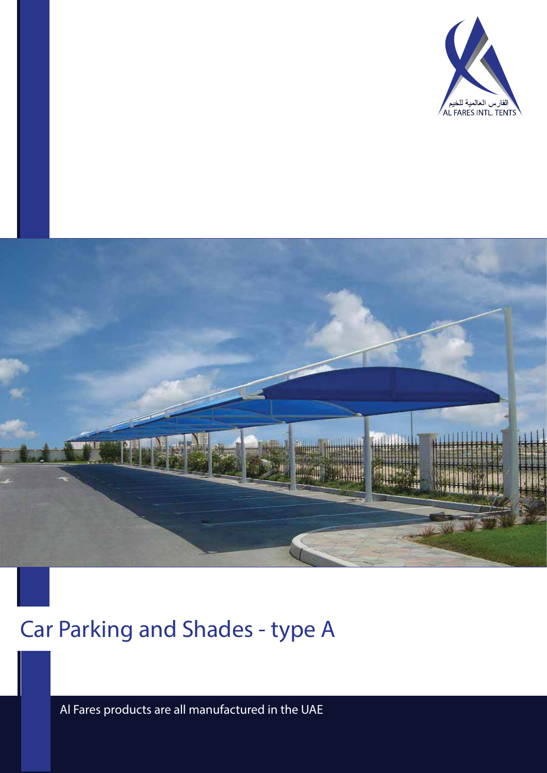



# Car Parking and Shades - type A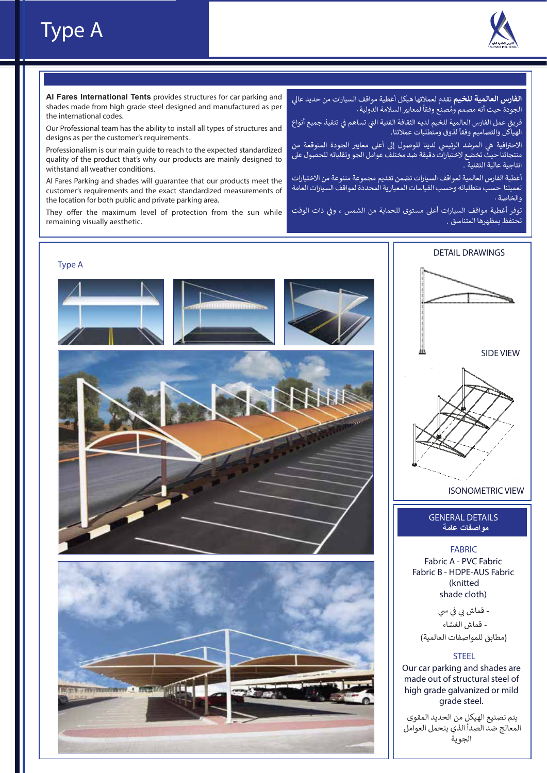### Type A



**Al Fares International Tents** provides structures for car parking and shades made from high grade steel designed and manufactured as per the international codes.

Our Professional team has the ability to install all types of structures and designs as per the customer's requirements.

Professionalism is our main guide to reach to the expected standardized quality of the product that's why our products are mainly designed to withstand all weather conditions.

Al Fares Parking and shades will guarantee that our products meet the customer's requirements and the exact standardized measurements of the location for both public and private parking area.

They offer the maximum level of protection from the sun while remaining visually aesthetic.

ا**لفارس العالمية للخيم** تقدم لعملائها هيكل أغطية مواقف السيارات من حديد عالي ً'لجودة حيث أنه مصمم ومُصنع وفقاً لمعايير السلامة الدولية . ا<br>ا

فريق عمل الفارس العالمية للخيم لديه الثقافة الفنية التي تساهم في تنفيذ جميع أنواع<br>-� �ـرين حس العارس العاملية لتحييم منية المصالح المسابق<br>الهياكل والتصاميم وفقاً لذوق ومتطلبات عملائنا .

الاحترافية هي المرشد الرئيسي لدينا للوصول إلى أعلى معايير الجودة المتوقعة من منتجاتنا حيث تخضع لاختبارات دقيقة ضد مختلف عوامل الجو وتقلباته للحصول ع� انتاجية عالية التقنية .

أغطية الفارس العالمية لمواقف السيارات تضمن تقديم مجموعة متنوعة من الاختيارات لعميلنا حسب متطلباته وحسب القياسات المعيارية المحددة لمواقف السيارات العامة والخاصة

نوفر أغطية مواقف السيارات أعلى مستوى للحماية من الشمس ، وفي ذات الوقت � تحتفظ بمظهرها المتناسق .

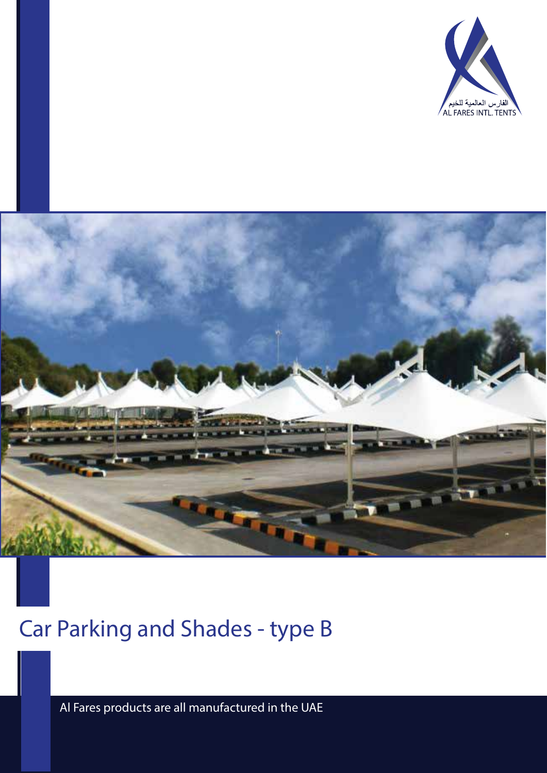



# Car Parking and Shades - type B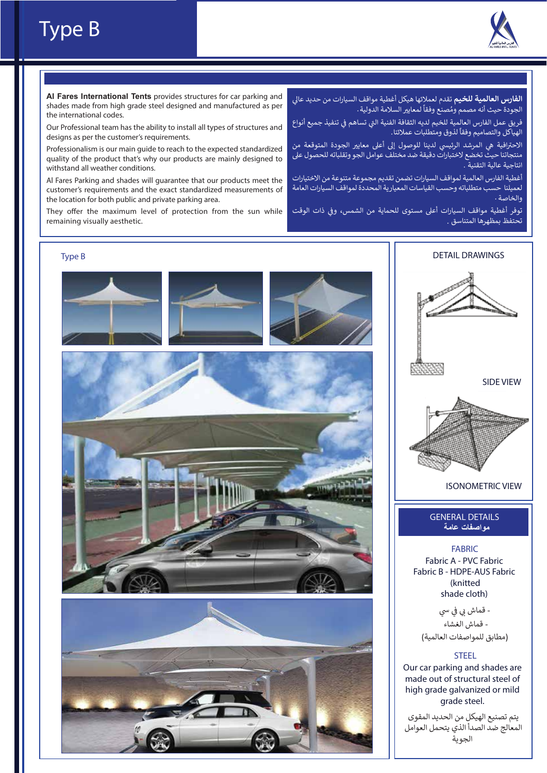### Type B



**Al Fares International Tents** provides structures for car parking and shades made from high grade steel designed and manufactured as per the international codes.

Our Professional team has the ability to install all types of structures and designs as per the customer's requirements.

Professionalism is our main guide to reach to the expected standardized quality of the product that's why our products are mainly designed to withstand all weather conditions.

Al Fares Parking and shades will guarantee that our products meet the customer's requirements and the exact standardized measurements of the location for both public and private parking area.

They offer the maximum level of protection from the sun while remaining visually aesthetic.

ا**لفارس العالمية للخيم** تقدم لعملائها هيكل أغطية مواقف السيارات من حديد عالي ًالجودة حيث أنه مصمم ومُصنع وفقاً لمعايير السلامة الدولية . ُ

فريق عمل الفارس العالمية للخيم لديه الثقافة الفنية التي تساهم في تنفيذ جميع أنواع<br>-� �ـرين حس ،عدرس ،عدسية لتحيم لتعيه منصف .<br>الهياكل والتصاميم وفقاً لذوق ومتطلبات عملائنا .

الاحترافية هي المرشد الرئيسي لدينا للوصول إلى أعلى معايير الجودة المتوقعة من منتجاتنا حيث تخضع لاختبارات دقيقة ضد مختلف عوامل الجو وتقلباته للحصول ع� انتاجية عالية التقنية

أغطية الفارس العالمية لمواقف السيارات تضمن تقديم مجموعة متنوعة من الاختيارات لعميلنا حسب متطلباته وحسب القياسات المعيارية المحددة لمواقف السيارات العامة والخاصة

توفر أغطية مواقف السيارات أعلى مستوى للحماية من الشمس، وفي ذات الوقت � تحتفظ بمظهرها المتناسق .

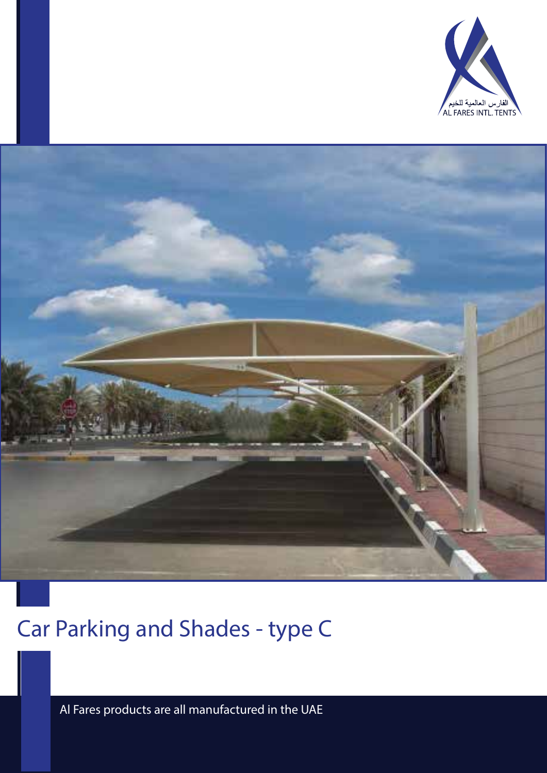



# Car Parking and Shades - type C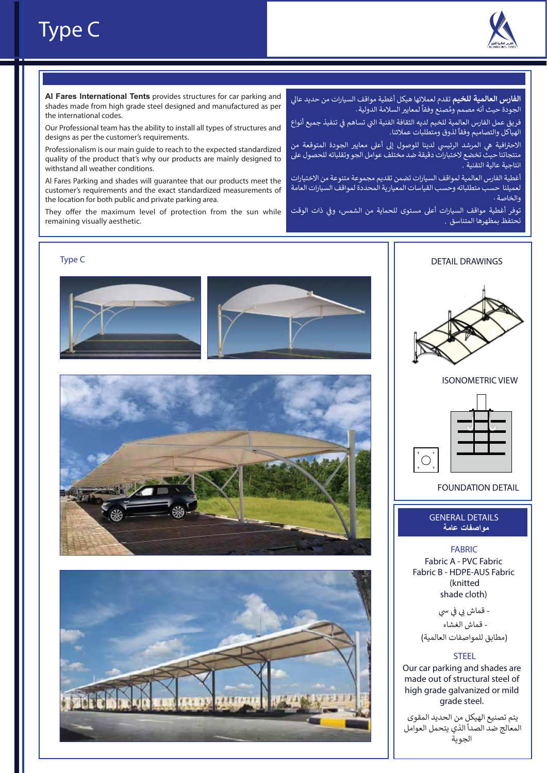

### Type C

**Al Fares International Tents** provides structures for car parking and shades made from high grade steel designed and manufactured as per the international codes.

Our Professional team has the ability to install all types of structures and designs as per the customer's requirements.

Professionalism is our main guide to reach to the expected standardized quality of the product that's why our products are mainly designed to withstand all weather conditions.

Al Fares Parking and shades will guarantee that our products meet the customer's requirements and the exact standardized measurements of the location for both public and private parking area.

They offer the maximum level of protection from the sun while remaining visually aesthetic.

ا**لفارس العالمية للخيم** تقدم لعملائها هيكل أغطية مواقف السيارات من حديد عالي ً'لجودة حيث أنه مصمم ومُصنع وفقاً لمعايير السلامة الدولية . ا<br>ا

فريق عمل الفارس العالمية للخيم لديه الثقافة الفنية التي تساهم في تنفيذ جميع أنواع<br>-� �ـرين حس الدرس العاملية لتحييم منية المصالح المسابقة<br>الهياكل والتصاميم وفقاً لذوق ومتطلبات عملائنا .

الاحترافية هي المرشد الرئيسي لدينا للوصول إلى أعلى معايير الجودة المتوقعة من منتجاتنا حيث تخضع لاختبارات دقيقة ضد مختلف عوامل الجو وتقلباته للحصول ع� انتاجية عالية التقنية

أغطية الفارس العالمية لمواقف السيارات تضمن تقديم مجموعة متنوعة من الاختيارات لعميلنا حسب متطلباته وحسب القياسات المعيارية المحددة لمواقف السيارات العامة والخاصة

نوفر أغطية مواقف السيارات أعلى مستوى للحماية من الشمس، وفي ذات الوقت � تحتفظ بمظهرها المتناسق .









ISONOMETRIC VIEW



FOUNDATION DETAIL

#### GENERAL DETAILS **مواصفات عامة**

Fabric A - PVC Fabric Fabric B - HDPE-AUS Fabric (knitted shade cloth) FABRIC

- قماش بي في سي � - قماش الغشاء (مطابق للمواصفات العالمية)

#### STEEL

Our car parking and shades are made out of structural steel of high grade galvanized or mild grade steel.

يتم تصنيع الهيكل من الحديد المقوى .<br>المعالج ضد الصدأ الذي يتحمل العوامل الجوية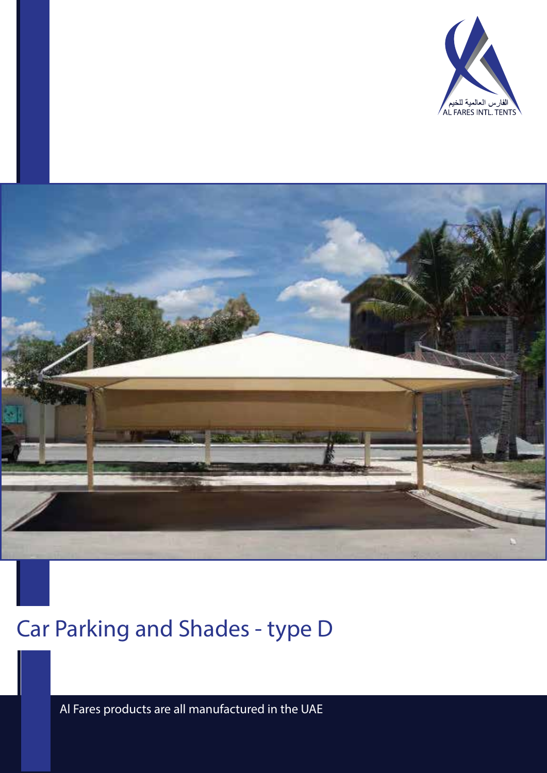



# Car Parking and Shades - type D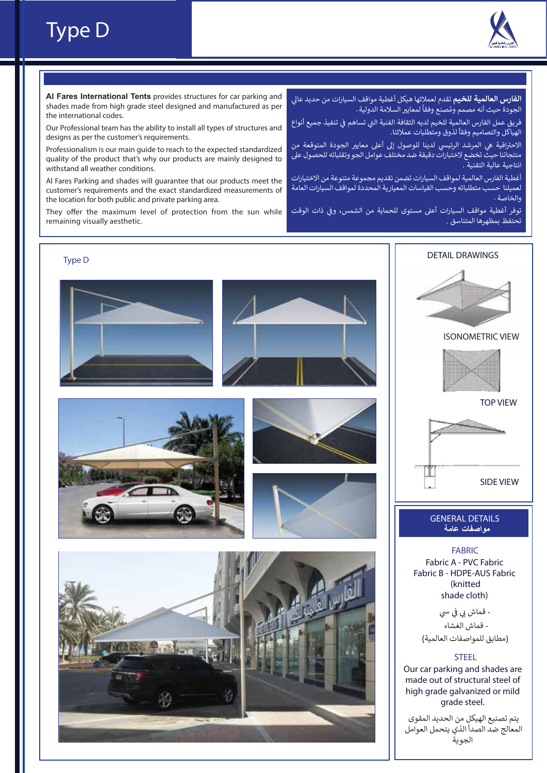



**Al Fares International Tents** provides structures for car parking and shades made from high grade steel designed and manufactured as per the international codes.

Our Professional team has the ability to install all types of structures and designs as per the customer's requirements.

Professionalism is our main guide to reach to the expected standardized quality of the product that's why our products are mainly designed to withstand all weather conditions.

Al Fares Parking and shades will guarantee that our products meet the customer's requirements and the exact standardized measurements of the location for both public and private parking area.

They offer the maximum level of protection from the sun while remaining visually aesthetic.

ا**لفارس العالمية للخيم** تقدم لعملائها هيكل أغطية مواقف السيارات من حديد عالي ًالجودة حيث أنه مصمم ومُصنع وفقاً لمعايير السلامة الدولية . ٍ<br>م

فريق عمل الفارس العالمية للخيم لديه الثقافة الفنية التي تساهم في تنفيذ جميع أنواع<br>-� �ـرين حس العارس العاملية لتحييم لتوقيق المساعد ال<br>الهياكل والتصاميم وفقاً لذوق ومتطلبات عملائنا ـ

الاحترافية هي المرشد الرئيسي لدينا للوصول إلى أعلى معايير الجودة المتوقعة من منتجاتنا حيث تخضع لاختبارات دقيقة ضد مختلف عوامل الجو وتقلباته للحصول ع� انتاجية عالية التقنية .

أغطية الفارس العالمية لمواقف السيارات تضمن تقديم مجموعة متنوعة من الاختيارات لعميلنا حسب متطلباته وحسب القياسات المعيارية المحددة لمواقف السيارات العامة والخاصة

توفر أغطية مواقف السيارات أعلى مستوى للحماية من الشمس، وفي ذات الوقت � تحتفظ بمظهرها المتناسق .

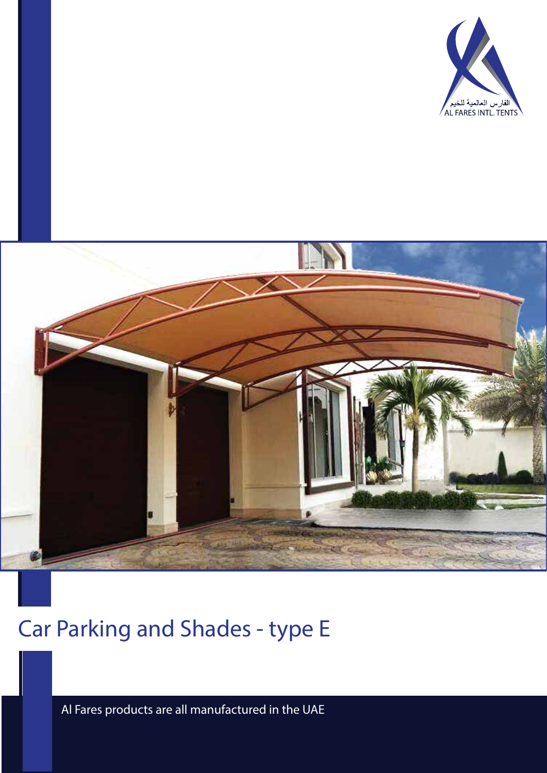



# Car Parking and Shades - type E